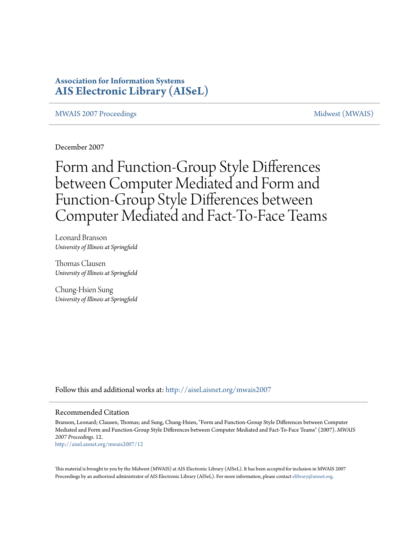# **Association for Information Systems [AIS Electronic Library \(AISeL\)](http://aisel.aisnet.org?utm_source=aisel.aisnet.org%2Fmwais2007%2F12&utm_medium=PDF&utm_campaign=PDFCoverPages)**

[MWAIS 2007 Proceedings](http://aisel.aisnet.org/mwais2007?utm_source=aisel.aisnet.org%2Fmwais2007%2F12&utm_medium=PDF&utm_campaign=PDFCoverPages) and the matrix of the [Midwest \(MWAIS\)](http://aisel.aisnet.org/mwais?utm_source=aisel.aisnet.org%2Fmwais2007%2F12&utm_medium=PDF&utm_campaign=PDFCoverPages)

December 2007

Form and Function-Group Style Differences between Computer Mediated and Form and Function-Group Style Differences between Computer Mediated and Fact-To-Face Teams

Leonard Branson *University of Illinois at Springfield*

Thomas Clausen *University of Illinois at Springfield*

Chung-Hsien Sung *University of Illinois at Springfield*

Follow this and additional works at: [http://aisel.aisnet.org/mwais2007](http://aisel.aisnet.org/mwais2007?utm_source=aisel.aisnet.org%2Fmwais2007%2F12&utm_medium=PDF&utm_campaign=PDFCoverPages)

#### Recommended Citation

Branson, Leonard; Clausen, Thomas; and Sung, Chung-Hsien, "Form and Function-Group Style Differences between Computer Mediated and Form and Function-Group Style Differences between Computer Mediated and Fact-To-Face Teams" (2007). *MWAIS 2007 Proceedings*. 12. [http://aisel.aisnet.org/mwais2007/12](http://aisel.aisnet.org/mwais2007/12?utm_source=aisel.aisnet.org%2Fmwais2007%2F12&utm_medium=PDF&utm_campaign=PDFCoverPages)

This material is brought to you by the Midwest (MWAIS) at AIS Electronic Library (AISeL). It has been accepted for inclusion in MWAIS 2007 Proceedings by an authorized administrator of AIS Electronic Library (AISeL). For more information, please contact [elibrary@aisnet.org](mailto:elibrary@aisnet.org%3E).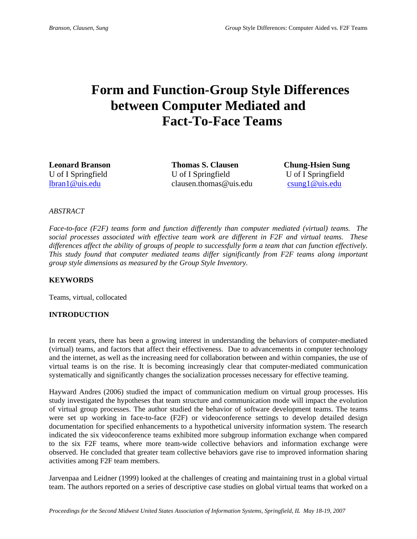# **Form and Function-Group Style Differences between Computer Mediated and Fact-To-Face Teams**

**Leonard Branson Thomas S. Clausen Chung-Hsien Sung**  U of I Springfield U of I Springfield U of I Springfield lbran1@uis.edu clausen.thomas@uis.edu csung1@uis.edu

### *ABSTRACT*

*Face-to-face (F2F) teams form and function differently than computer mediated (virtual) teams. The social processes associated with effective team work are different in F2F and virtual teams. These differences affect the ability of groups of people to successfully form a team that can function effectively. This study found that computer mediated teams differ significantly from F2F teams along important group style dimensions as measured by the Group Style Inventory.* 

#### **KEYWORDS**

Teams, virtual, collocated

# **INTRODUCTION**

In recent years, there has been a growing interest in understanding the behaviors of computer-mediated (virtual) teams, and factors that affect their effectiveness. Due to advancements in computer technology and the internet, as well as the increasing need for collaboration between and within companies, the use of virtual teams is on the rise. It is becoming increasingly clear that computer-mediated communication systematically and significantly changes the socialization processes necessary for effective teaming.

Hayward Andres (2006) studied the impact of communication medium on virtual group processes. His study investigated the hypotheses that team structure and communication mode will impact the evolution of virtual group processes. The author studied the behavior of software development teams. The teams were set up working in face-to-face (F2F) or videoconference settings to develop detailed design documentation for specified enhancements to a hypothetical university information system. The research indicated the six videoconference teams exhibited more subgroup information exchange when compared to the six F2F teams, where more team-wide collective behaviors and information exchange were observed. He concluded that greater team collective behaviors gave rise to improved information sharing activities among F2F team members.

Jarvenpaa and Leidner (1999) looked at the challenges of creating and maintaining trust in a global virtual team. The authors reported on a series of descriptive case studies on global virtual teams that worked on a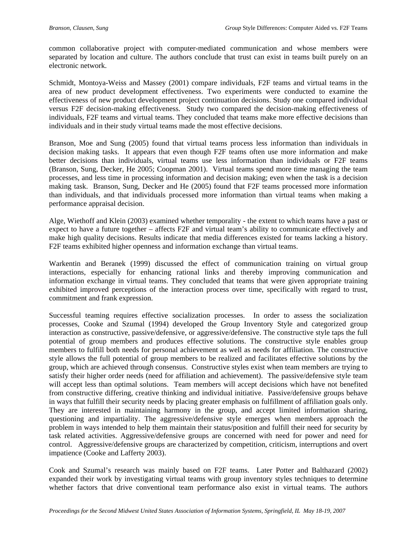common collaborative project with computer-mediated communication and whose members were separated by location and culture. The authors conclude that trust can exist in teams built purely on an electronic network.

Schmidt, Montoya-Weiss and Massey (2001) compare individuals, F2F teams and virtual teams in the area of new product development effectiveness. Two experiments were conducted to examine the effectiveness of new product development project continuation decisions. Study one compared individual versus F2F decision-making effectiveness. Study two compared the decision-making effectiveness of individuals, F2F teams and virtual teams. They concluded that teams make more effective decisions than individuals and in their study virtual teams made the most effective decisions.

Branson, Moe and Sung (2005) found that virtual teams process less information than individuals in decision making tasks. It appears that even though F2F teams often use more information and make better decisions than individuals, virtual teams use less information than individuals or F2F teams (Branson, Sung, Decker, He 2005; Coopman 2001). Virtual teams spend more time managing the team processes, and less time in processing information and decision making; even when the task is a decision making task. Branson, Sung, Decker and He (2005) found that F2F teams processed more information than individuals, and that individuals processed more information than virtual teams when making a performance appraisal decision.

Alge, Wiethoff and Klein (2003) examined whether temporality - the extent to which teams have a past or expect to have a future together – affects F2F and virtual team's ability to communicate effectively and make high quality decisions. Results indicate that media differences existed for teams lacking a history. F2F teams exhibited higher openness and information exchange than virtual teams.

Warkentin and Beranek (1999) discussed the effect of communication training on virtual group interactions, especially for enhancing rational links and thereby improving communication and information exchange in virtual teams. They concluded that teams that were given appropriate training exhibited improved perceptions of the interaction process over time, specifically with regard to trust, commitment and frank expression.

Successful teaming requires effective socialization processes. In order to assess the socialization processes, Cooke and Szumal (1994) developed the Group Inventory Style and categorized group interaction as constructive, passive/defensive, or aggressive/defensive. The constructive style taps the full potential of group members and produces effective solutions. The constructive style enables group members to fulfill both needs for personal achievement as well as needs for affiliation. The constructive style allows the full potential of group members to be realized and facilitates effective solutions by the group, which are achieved through consensus. Constructive styles exist when team members are trying to satisfy their higher order needs (need for affiliation and achievement). The passive/defensive style team will accept less than optimal solutions. Team members will accept decisions which have not benefited from constructive differing, creative thinking and individual initiative. Passive/defensive groups behave in ways that fulfill their security needs by placing greater emphasis on fulfillment of affiliation goals only. They are interested in maintaining harmony in the group, and accept limited information sharing, questioning and impartiality. The aggressive/defensive style emerges when members approach the problem in ways intended to help them maintain their status/position and fulfill their need for security by task related activities. Aggressive/defensive groups are concerned with need for power and need for control. Aggressive/defensive groups are characterized by competition, criticism, interruptions and overt impatience (Cooke and Lafferty 2003).

Cook and Szumal's research was mainly based on F2F teams. Later Potter and Balthazard (2002) expanded their work by investigating virtual teams with group inventory styles techniques to determine whether factors that drive conventional team performance also exist in virtual teams. The authors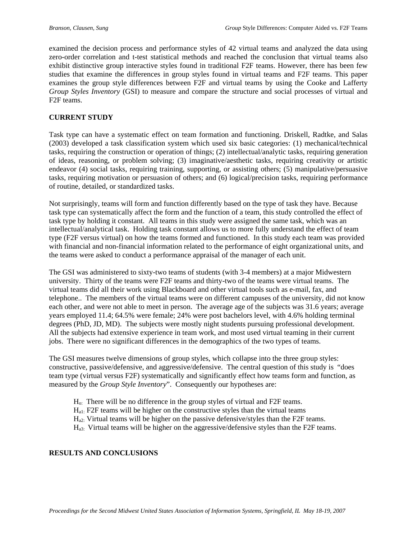examined the decision process and performance styles of 42 virtual teams and analyzed the data using zero-order correlation and t-test statistical methods and reached the conclusion that virtual teams also exhibit distinctive group interactive styles found in traditional F2F teams. However, there has been few studies that examine the differences in group styles found in virtual teams and F2F teams. This paper examines the group style differences between F2F and virtual teams by using the Cooke and Lafferty *Group Styles Inventory* (GSI) to measure and compare the structure and social processes of virtual and F2F teams.

# **CURRENT STUDY**

Task type can have a systematic effect on team formation and functioning. Driskell, Radtke, and Salas (2003) developed a task classification system which used six basic categories: (1) mechanical/technical tasks, requiring the construction or operation of things; (2) intellectual/analytic tasks, requiring generation of ideas, reasoning, or problem solving; (3) imaginative/aesthetic tasks, requiring creativity or artistic endeavor (4) social tasks, requiring training, supporting, or assisting others; (5) manipulative/persuasive tasks, requiring motivation or persuasion of others; and (6) logical/precision tasks, requiring performance of routine, detailed, or standardized tasks.

Not surprisingly, teams will form and function differently based on the type of task they have. Because task type can systematically affect the form and the function of a team, this study controlled the effect of task type by holding it constant. All teams in this study were assigned the same task, which was an intellectual/analytical task. Holding task constant allows us to more fully understand the effect of team type (F2F versus virtual) on how the teams formed and functioned. In this study each team was provided with financial and non-financial information related to the performance of eight organizational units, and the teams were asked to conduct a performance appraisal of the manager of each unit.

The GSI was administered to sixty-two teams of students (with 3-4 members) at a major Midwestern university. Thirty of the teams were F2F teams and thirty-two of the teams were virtual teams. The virtual teams did all their work using Blackboard and other virtual tools such as e-mail, fax, and telephone.. The members of the virtual teams were on different campuses of the university, did not know each other, and were not able to meet in person. The average age of the subjects was 31.6 years; average years employed 11.4; 64.5% were female; 24% were post bachelors level, with 4.6% holding terminal degrees (PhD, JD, MD). The subjects were mostly night students pursuing professional development. All the subjects had extensive experience in team work, and most used virtual teaming in their current jobs. There were no significant differences in the demographics of the two types of teams.

The GSI measures twelve dimensions of group styles, which collapse into the three group styles: constructive, passive/defensive, and aggressive/defensive. The central question of this study is "does team type (virtual versus F2F) systematically and significantly effect how teams form and function, as measured by the *Group Style Inventory*". Consequently our hypotheses are:

- Ho: There will be no difference in the group styles of virtual and F2F teams.
- Ha1: F2F teams will be higher on the constructive styles than the virtual teams
- Ha2: Virtual teams will be higher on the passive defensive/styles than the F2F teams.
- $H_{33}$ . Virtual teams will be higher on the aggressive/defensive styles than the F2F teams.

# **RESULTS AND CONCLUSIONS**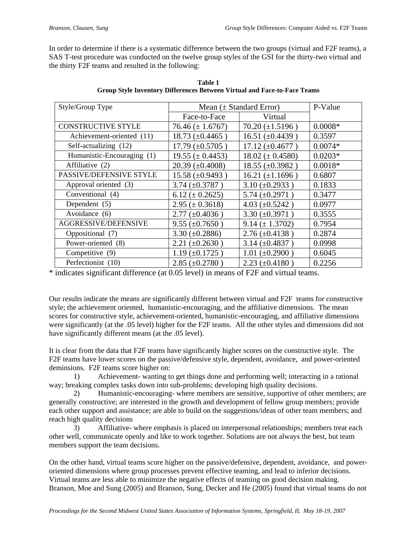In order to determine if there is a systematic difference between the two groups (virtual and F2F teams), a SAS T-test procedure was conducted on the twelve group styles of the GSI for the thirty-two virtual and the thirty F2F teams and resulted in the following:

| Style/Group Type           | Mean $(\pm$ Standard Error)      |                                  | P-Value   |
|----------------------------|----------------------------------|----------------------------------|-----------|
|                            | Face-to-Face                     | Virtual                          |           |
| <b>CONSTRUCTIVE STYLE</b>  | $76.46 \ (\pm 1.6767)$           | $70.20 (\pm 1.5196)$             | $0.0008*$ |
| Achievement-oriented (11)  | $18.73 \ (\pm 0.4465)$           | $16.51 (\pm 0.4439)$             | 0.3597    |
| Self-actualizing (12)      | $17.79 \ (\pm 0.5705)$           | $17.12 \ (\pm 0.4677)$           | $0.0074*$ |
| Humanistic-Encouraging (1) | $19.55 \ (\pm 0.4453)$           | $18.02 \ (\pm 0.4580)$           | $0.0203*$ |
| Affiliative (2)            | $20.39 \ (\pm 0.4008)$           | $18.55 (\pm 0.3982)$             | $0.0018*$ |
| PASSIVE/DEFENSIVE STYLE    | $15.58 \ (\pm 0.9493)$           | $16.21 (\pm 1.1696)$             | 0.6807    |
| Approval oriented (3)      | $3.74 \ (\pm 0.3787)$            | $3.10 (\pm 0.2933)$              | 0.1833    |
| Conventional (4)           | $6.12 \ (\pm 0.2625)$            | $5.74 \ (\pm 0.2971)$            | 0.3477    |
| Dependent (5)              | $2.95 \ (\pm 0.3618)$            | $4.03 (\pm 0.5242)$              | 0.0977    |
| Avoidance (6)              | $2.77 \ (\pm 0.4036)$            | $3.30 \ (\pm 0.3971)$            | 0.3555    |
| AGGRESSIVE/DEFENSIVE       | $9.55 \ (\pm 0.7650)$            | $9.14 (\pm 1.3702)$              | 0.7954    |
| Oppositional (7)           | 3.30 $(\pm 0.2886)$              | $2.76 \ (\pm 0.4138)$            | 0.2874    |
| Power-oriented (8)         | $2.21 (\pm 0.2630)$              | $3.14 \left( \pm 0.4837 \right)$ | 0.0998    |
| Competitive (9)            | $1.19 \left( \pm 0.1725 \right)$ | $1.01 (\pm 0.2900)$              | 0.6045    |
| Perfectionist (10)         | $2.85 (\pm 0.2780)$              | $2.23 (\pm 0.4180)$              | 0.2256    |

**Table 1 Group Style Inventory Differences Between Virtual and Face-to-Face Teams** 

\* indicates significant difference (at 0.05 level) in means of F2F and virtual teams.

Our results indicate the means are significantly different between virtual and F2F teams for constructive style; the achievement oriented, humanistic-encouraging, and the affiliative dimensions. The mean scores for constructive style, achievement-oriented, humanistic-encouraging, and affiliative dimensions were significantly (at the .05 level) higher for the F2F teams. All the other styles and dimensions did not have significantly different means (at the .05 level).

It is clear from the data that F2F teams have significantly higher scores on the constructive style. The F2F teams have lower scores on the passive/defensive style, dependent, avoidance, and power-oriented deminsions. F2F teams score higher on:

 1) Achievement- wanting to get things done and performing well; interacting in a rational way; breaking complex tasks down into sub-problems; developing high quality decisions.

 2) Humanistic-encouraging- where members are sensitive, supportive of other members; are generally constructive; are interested in the growth and development of fellow group members; provide each other support and assistance; are able to build on the suggestions/ideas of other team members; and reach high quality decisions

 3) Affiliative- where emphasis is placed on interpersonal relationships; members treat each other well, communicate openly and like to work together. Solutions are not always the best, but team members support the team decisions.

On the other hand, virtual teams score higher on the passive/defensive, dependent, avoidance, and poweroriented dimensions where group processes prevent effective teaming, and lead to inferior decisions. Virtual teams are less able to minimize the negative effects of teaming on good decision making. Branson, Moe and Sung (2005) and Branson, Sung, Decker and He (2005) found that virtual teams do not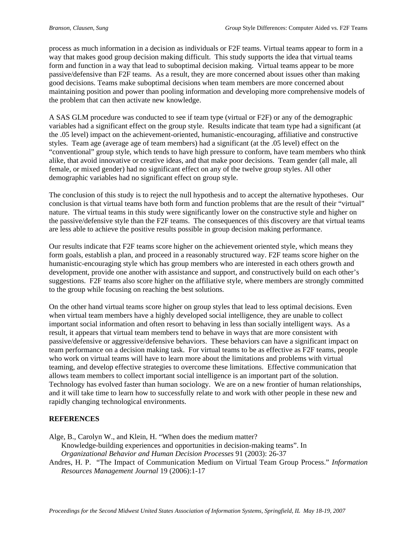process as much information in a decision as individuals or F2F teams. Virtual teams appear to form in a way that makes good group decision making difficult. This study supports the idea that virtual teams form and function in a way that lead to suboptimal decision making. Virtual teams appear to be more passive/defensive than F2F teams. As a result, they are more concerned about issues other than making good decisions. Teams make suboptimal decisions when team members are more concerned about maintaining position and power than pooling information and developing more comprehensive models of the problem that can then activate new knowledge.

A SAS GLM procedure was conducted to see if team type (virtual or F2F) or any of the demographic variables had a significant effect on the group style. Results indicate that team type had a significant (at the .05 level) impact on the achievement-oriented, humanistic-encouraging, affiliative and constructive styles. Team age (average age of team members) had a significant (at the .05 level) effect on the "conventional" group style, which tends to have high pressure to conform, have team members who think alike, that avoid innovative or creative ideas, and that make poor decisions. Team gender (all male, all female, or mixed gender) had no significant effect on any of the twelve group styles. All other demographic variables had no significant effect on group style.

The conclusion of this study is to reject the null hypothesis and to accept the alternative hypotheses. Our conclusion is that virtual teams have both form and function problems that are the result of their "virtual" nature. The virtual teams in this study were significantly lower on the constructive style and higher on the passive/defensive style than the F2F teams. The consequences of this discovery are that virtual teams are less able to achieve the positive results possible in group decision making performance.

Our results indicate that F2F teams score higher on the achievement oriented style, which means they form goals, establish a plan, and proceed in a reasonably structured way. F2F teams score higher on the humanistic-encouraging style which has group members who are interested in each others growth and development, provide one another with assistance and support, and constructively build on each other's suggestions. F2F teams also score higher on the affiliative style, where members are strongly committed to the group while focusing on reaching the best solutions.

On the other hand virtual teams score higher on group styles that lead to less optimal decisions. Even when virtual team members have a highly developed social intelligence, they are unable to collect important social information and often resort to behaving in less than socially intelligent ways. As a result, it appears that virtual team members tend to behave in ways that are more consistent with passive/defensive or aggressive/defensive behaviors. These behaviors can have a significant impact on team performance on a decision making task. For virtual teams to be as effective as F2F teams, people who work on virtual teams will have to learn more about the limitations and problems with virtual teaming, and develop effective strategies to overcome these limitations. Effective communication that allows team members to collect important social intelligence is an important part of the solution. Technology has evolved faster than human sociology. We are on a new frontier of human relationships, and it will take time to learn how to successfully relate to and work with other people in these new and rapidly changing technological environments.

# **REFERENCES**

Alge, B., Carolyn W., and Klein, H. "When does the medium matter?

Knowledge-building experiences and opportunities in decision-making teams". In *Organizational Behavior and Human Decision Processes* 91 (2003): 26-37

Andres, H. P. "The Impact of Communication Medium on Virtual Team Group Process." *Information Resources Management Journal* 19 (2006):1-17